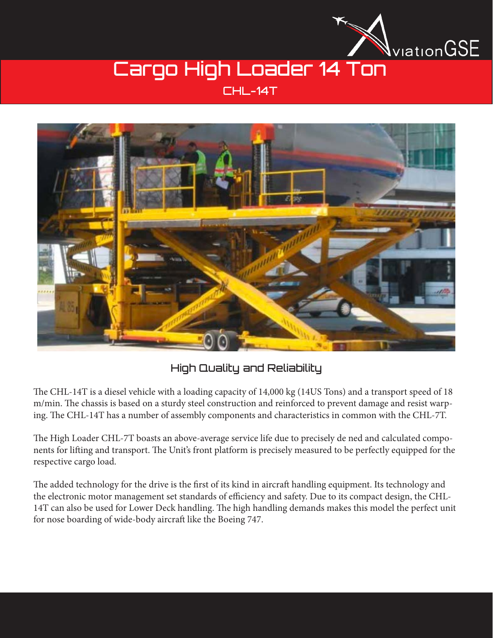

# Cargo High Loader 14 Ton

### CHL-14T



### High Quality and Reliability

The CHL-14T is a diesel vehicle with a loading capacity of 14,000 kg (14US Tons) and a transport speed of 18 m/min. The chassis is based on a sturdy steel construction and reinforced to prevent damage and resist warping. The CHL-14T has a number of assembly components and characteristics in common with the CHL-7T.

The High Loader CHL-7T boasts an above-average service life due to precisely de ned and calculated components for lifting and transport. The Unit's front platform is precisely measured to be perfectly equipped for the respective cargo load.

The added technology for the drive is the first of its kind in aircraft handling equipment. Its technology and the electronic motor management set standards of efficiency and safety. Due to its compact design, the CHL-14T can also be used for Lower Deck handling. The high handling demands makes this model the perfect unit for nose boarding of wide-body aircraft like the Boeing 747.